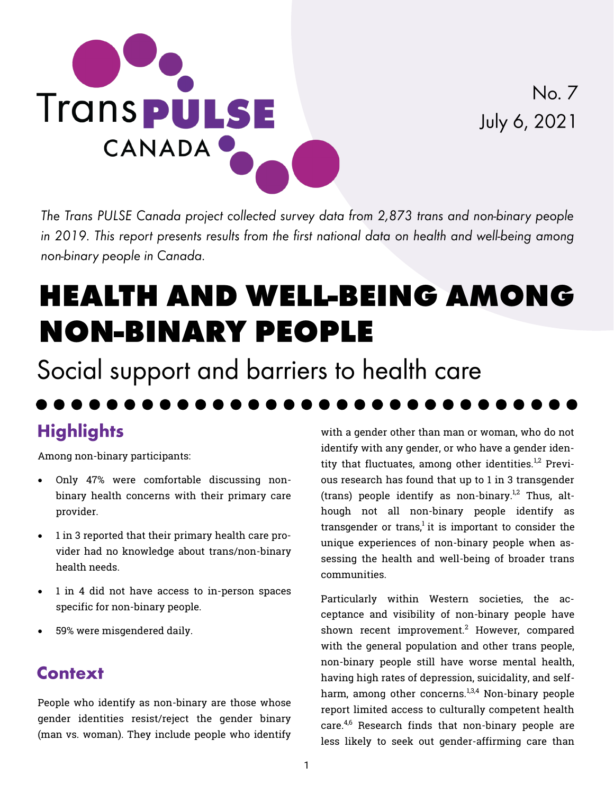

No. 7 July 6, 2021

The Trans PULSE Canada project collected survey data from 2,873 trans and non-binary people in 2019. This report presents results from the first national data on health and well-being among non-binary people in Canada.

# **HEALTH AND WELL-BEING AMONG NON-BINARY PEOPLE**

Social support and barriers to health care

## **Highlights**

Among non-binary participants:

- Only 47% were comfortable discussing nonbinary health concerns with their primary care provider.
- 1 in 3 reported that their primary health care provider had no knowledge about trans/non-binary health needs.
- 1 in 4 did not have access to in-person spaces specific for non-binary people.
- 59% were misgendered daily.

### **Context**

People who identify as non-binary are those whose gender identities resist/reject the gender binary (man vs. woman). They include people who identify <span id="page-0-1"></span><span id="page-0-0"></span>with a gender other than man or woman, who do not identify with any gender, or who have a gender identity that fluctuates, among other identities. $1,2$  $1,2$  $1,2$  Previous research has found that up to 1 in 3 transgender (trans) people identify as non-binary.<sup>[1,](#page-9-0)[2](#page-9-1)</sup> Thus, although not all non-binary people identify as transgender or trans,<sup>1</sup> it is important to consider the unique experiences of non-binary people when assessing the health and well-being of broader trans communities.

<span id="page-0-3"></span><span id="page-0-2"></span>Particularly within Western societies, the acceptance and visibility of non-binary people have shown recent improvement.<sup>[2](#page-9-1)</sup> However, compared with the general population and other trans people, non-binary people still have worse mental health, having high rates of depression, suicidality, and self-harm, among other concerns.<sup>[1](#page-9-0),[3](#page-9-2)[,4](#page-9-3)</sup> Non-binary people report limited access to culturally competent health care.<sup>[4,](#page-9-3)[6](#page-9-4)</sup> Research finds that non-binary people are less likely to seek out gender-affirming care than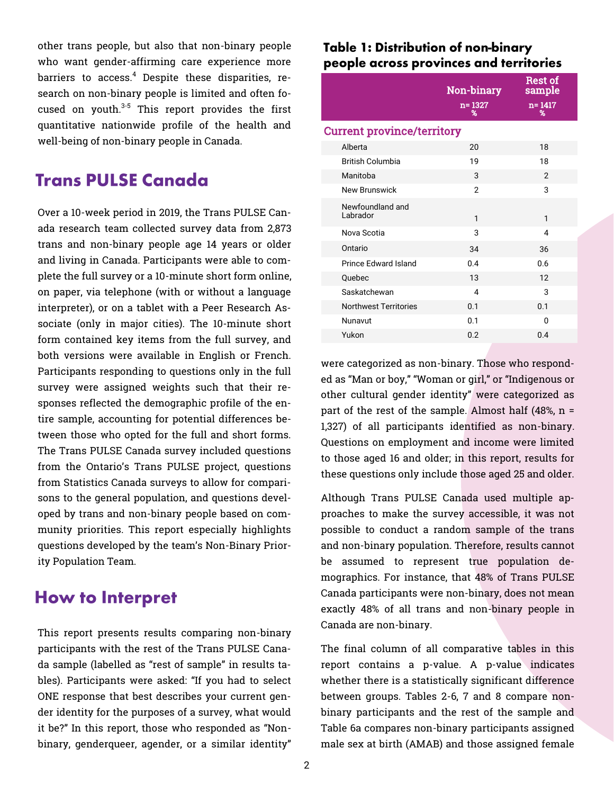<span id="page-1-1"></span><span id="page-1-0"></span>other trans people, but also that non-binary people who want gender-affirming care experience more barriers to access. $4$  Despite these disparities, research on non-binary people is limited and often focused on youth. $3-5$  $3-5$  $3-5$  This report provides the first quantitative nationwide profile of the health and well-being of non-binary people in Canada.

### **Trans PULSE Canada**

Over a 10-week period in 2019, the Trans PULSE Canada research team collected survey data from 2,873 trans and non-binary people age 14 years or older and living in Canada. Participants were able to complete the full survey or a 10-minute short form online, on paper, via telephone (with or without a language interpreter), or on a tablet with a Peer Research Associate (only in major cities). The 10-minute short form contained key items from the full survey, and both versions were available in English or French. Participants responding to questions only in the full survey were assigned weights such that their responses reflected the demographic profile of the entire sample, accounting for potential differences between those who opted for the full and short forms. The Trans PULSE Canada survey included questions from the Ontario's Trans PULSE project, questions from Statistics Canada surveys to allow for comparisons to the general population, and questions developed by trans and non-binary people based on community priorities. This report especially highlights questions developed by the team's Non-Binary Priority Population Team.

### **How to Interpret**

This report presents results comparing non-binary participants with the rest of the Trans PULSE Canada sample (labelled as "rest of sample" in results tables). Participants were asked: "If you had to select ONE response that best describes your current gender identity for the purposes of a survey, what would it be?" In this report, those who responded as "Nonbinary, genderqueer, agender, or a similar identity"

#### **Table 1: Distribution of non-binary** people across provinces and territories

|                                   | Non-binary<br>$n = 1327$<br>% | <b>Rest of</b><br>sample<br>$n = 1417$<br>% |  |  |  |  |
|-----------------------------------|-------------------------------|---------------------------------------------|--|--|--|--|
| <b>Current province/territory</b> |                               |                                             |  |  |  |  |
| Alberta                           | 20                            | 18                                          |  |  |  |  |
| <b>British Columbia</b>           | 19                            | 18                                          |  |  |  |  |
| Manitoba                          | 3                             | $\mathfrak{p}$                              |  |  |  |  |
| <b>New Brunswick</b>              | $\mathfrak{p}$                | 3                                           |  |  |  |  |
| Newfoundland and<br>Labrador      | 1                             | 1                                           |  |  |  |  |
| Nova Scotia                       | 3                             | 4                                           |  |  |  |  |
| Ontario                           | 34                            | 36                                          |  |  |  |  |
| <b>Prince Edward Island</b>       | 0.4                           | 0.6                                         |  |  |  |  |
| Quebec                            | 13                            | 12                                          |  |  |  |  |
| Saskatchewan                      | 4                             | 3                                           |  |  |  |  |
| <b>Northwest Territories</b>      | 0.1                           | 0.1                                         |  |  |  |  |
| Nunavut                           | 0.1                           | 0                                           |  |  |  |  |
| Yukon                             | 0.2                           | 0.4                                         |  |  |  |  |

were categorized as non-binary. Those who responded as "Man or boy," "Woman or girl," or "Indigenous or other cultural gender identity" were categorized as part of the rest of the sample. Almost half (48%, n = 1,327) of all participants identified as non-binary. Questions on employment and income were limited to those aged 16 and older; in this report, results for these questions only include those aged 25 and older.

Although Trans PULSE Canada used multiple approaches to make the survey accessible, it was not possible to conduct a random sample of the trans and non-binary population. Therefore, results cannot be assumed to represent true population demographics. For instance, that 48% of Trans PULSE Canada participants were non-binary, does not mean exactly 48% of all trans and non-binary people in Canada are non-binary.

The final column of all comparative tables in this report contains a p-value. A p-value indicates whether there is a statistically significant difference between groups. Tables 2-6, 7 and 8 compare nonbinary participants and the rest of the sample and Table 6a compares non-binary participants assigned male sex at birth (AMAB) and those assigned female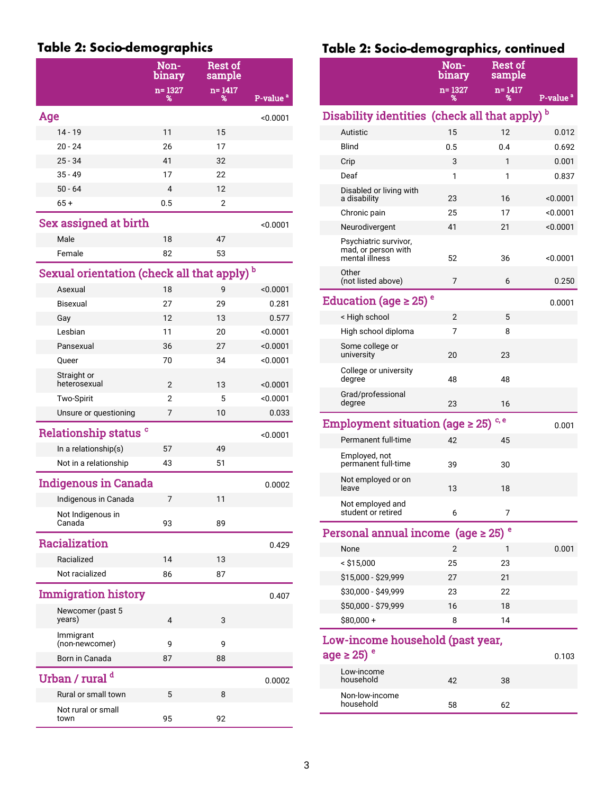### Table 2: Socio-demographics

<span id="page-2-3"></span><span id="page-2-2"></span>

|                                                    | Non-<br>binary | <b>Rest of</b><br>sample |                      |
|----------------------------------------------------|----------------|--------------------------|----------------------|
|                                                    | $n = 1327$     | n=1417<br>℁              | P-value <sup>a</sup> |
| Age                                                |                |                          | < 0.0001             |
| $14 - 19$                                          | 11             | 15                       |                      |
| $20 - 24$                                          | 26             | 17                       |                      |
| $25 - 34$                                          | 41             | 32                       |                      |
| $35 - 49$                                          | 17             | 22                       |                      |
| $50 - 64$                                          | 4              | 12                       |                      |
| $65+$                                              | 0.5            | 2                        |                      |
| <b>Sex assigned at birth</b>                       |                |                          | < 0.0001             |
| Male                                               | 18             | 47                       |                      |
| Female                                             | 82             | 53                       |                      |
| Sexual orientation (check all that apply) <b>b</b> |                |                          |                      |
| Asexual                                            | 18             | 9                        | < 0.0001             |
| <b>Bisexual</b>                                    | 27             | 29                       | 0.281                |
| Gay                                                | 12             | 13                       | 0.577                |
| Lesbian                                            | 11             | 20                       | < 0.0001             |
| Pansexual                                          | 36             | 27                       | < 0.0001             |
| Queer                                              | 70             | 34                       | < 0.0001             |
| Straight or<br>heterosexual                        | 2              | 13                       | < 0.0001             |
| <b>Two-Spirit</b>                                  | $\overline{2}$ | 5                        | < 0.0001             |
| Unsure or questioning                              | 7              | 10                       | 0.033                |
| Relationship status <sup>c</sup>                   |                |                          | < 0.0001             |
| In a relationship(s)                               | 57             | 49                       |                      |
| Not in a relationship                              | 43             | 51                       |                      |
| Indigenous in Canada                               |                |                          | 0.0002               |
| Indigenous in Canada                               | 7              | 11                       |                      |
| Not Indigenous in<br>Canada                        | 93             | 89                       |                      |
| Racialization                                      |                |                          | 0.429                |
| Racialized                                         | 14             | 13                       |                      |
| Not racialized                                     | 86             | 87                       |                      |
| <b>Immigration history</b>                         |                |                          | 0.407                |
| Newcomer (past 5<br>years)                         | 4              | 3                        |                      |
| Immigrant<br>(non-newcomer)                        | 9              | 9                        |                      |
| Born in Canada                                     | 87             | 88                       |                      |
| Urban / rural <sup>d</sup>                         |                |                          | 0.0002               |
| Rural or small town                                | 5              | 8                        |                      |
| Not rural or small<br>town                         | 95             | 92                       |                      |

### Table 2: Socio-demographics, continued

<span id="page-2-9"></span><span id="page-2-8"></span><span id="page-2-7"></span><span id="page-2-6"></span><span id="page-2-5"></span><span id="page-2-4"></span><span id="page-2-1"></span><span id="page-2-0"></span>

|                                                                | --<br>Non-<br>binary | <b>Rest of</b><br>sample |                      |
|----------------------------------------------------------------|----------------------|--------------------------|----------------------|
|                                                                | $n = 1327$<br>%      | $n = 1417$<br>%          | P-value <sup>a</sup> |
| Disability identities  (check all that apply) <sup>b</sup>     |                      |                          |                      |
| Autistic                                                       | 15                   | 12                       | 0.012                |
| <b>Blind</b>                                                   | 0.5                  | 0.4                      | 0.692                |
| Crip                                                           | 3                    | 1                        | 0.001                |
| Deaf                                                           | 1                    | 1                        | 0.837                |
| Disabled or living with<br>a disability                        | 23                   | 16                       | < 0.0001             |
| Chronic pain                                                   | 25                   | 17                       | < 0.0001             |
| Neurodivergent                                                 | 41                   | 21                       | <0.0001              |
| Psychiatric survivor,<br>mad, or person with<br>mental illness | 52                   | 36                       | < 0.0001             |
| Other<br>(not listed above)                                    | 7                    | 6                        | 0.250                |
| Education (age $\geq$ 25) $^{\rm e}$                           |                      |                          | 0.0001               |
| < High school                                                  | 2                    | 5                        |                      |
| High school diploma                                            | 7                    | 8                        |                      |
| Some college or<br>university                                  | 20                   | 23                       |                      |
| College or university<br>degree                                | 48                   | 48                       |                      |
| Grad/professional<br>degree                                    | 23                   | 16                       |                      |
| Employment situation (age $\geq 25$ )                          |                      | c, e                     | 0.001                |
| Permanent full-time                                            | 42                   | 45                       |                      |
| Employed, not<br>permanent full-time                           | 39                   | 30                       |                      |
| Not employed or on<br>leave                                    | 13                   | 18                       |                      |
| Not employed and<br>student or retired                         | 6                    | 7                        |                      |
| Personal annual income  (age ≥ 25) <sup>e</sup>                |                      |                          |                      |
| None                                                           | 2                    | 1                        | 0.001                |
| $<$ \$15,000                                                   | 25                   | 23                       |                      |
| \$15,000 - \$29,999                                            | 27                   | 21                       |                      |
| \$30,000 - \$49,999                                            | 23                   | 22                       |                      |
| \$50,000 - \$79,999                                            | 16                   | 18                       |                      |
| $$80,000 +$                                                    | 8                    | 14                       |                      |
| Low-income household (past year,                               |                      |                          |                      |
| age $\geq$ 25) $^{\circ}$                                      |                      |                          | 0.103                |
| Low-income<br>household                                        | 42                   | 38                       |                      |
| Non-low-income<br>household                                    | 58                   | 62                       |                      |
|                                                                |                      |                          |                      |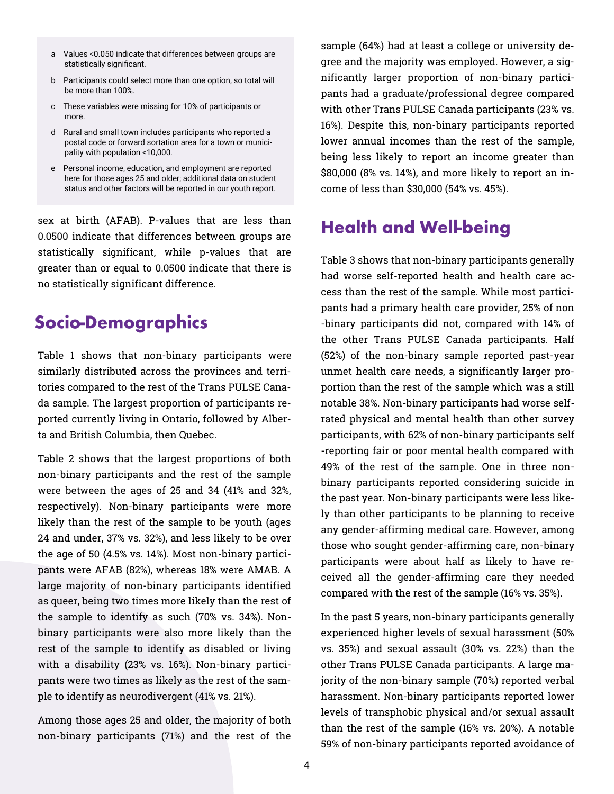- <span id="page-3-0"></span>[a](#page-2-0) Values <0.050 indicate that differences between groups are statistically significant.
- <span id="page-3-1"></span>[b](#page-2-1) Participants could select more than one option, so total will be more than 100%.
- <span id="page-3-2"></span>[c](#page-2-2) These variables were missing for 10% of participants or more.
- <span id="page-3-3"></span>[d](#page-2-3) Rural and small town includes participants who reported a postal code or forward sortation area for a town or municipality with population <10,000.
- <span id="page-3-4"></span>[e](#page-2-5) Personal income, education, and employment are reported here for those ages 25 and older; additional data on student status and other factors will be reported in our youth report.

sex at birth (AFAB). P-values that are less than 0.0500 indicate that differences between groups are statistically significant, while p-values that are greater than or equal to 0.0500 indicate that there is no statistically significant difference.

### **Socio-Demographics**

Table 1 shows that non-binary participants were similarly distributed across the provinces and territories compared to the rest of the Trans PULSE Canada sample. The largest proportion of participants reported currently living in Ontario, followed by Alberta and British Columbia, then Quebec.

Table 2 shows that the largest proportions of both non-binary participants and the rest of the sample were between the ages of 25 and 34 (41% and 32%, respectively). Non-binary participants were more likely than the rest of the sample to be youth (ages 24 and under, 37% vs. 32%), and less likely to be over the age of 50 (4.5% vs. 14%). Most non-binary participants were AFAB (82%), whereas 18% were AMAB. A large majority of non-binary participants identified as queer, being two times more likely than the rest of the sample to identify as such (70% vs. 34%). Nonbinary participants were also more likely than the rest of the sample to identify as disabled or living with a disability (23% vs. 16%). Non-binary participants were two times as likely as the rest of the sample to identify as neurodivergent (41% vs. 21%).

Among those ages 25 and older, the majority of both non-binary participants (71%) and the rest of the

sample (64%) had at least a college or university degree and the majority was employed. However, a significantly larger proportion of non-binary participants had a graduate/professional degree compared with other Trans PULSE Canada participants (23% vs. 16%). Despite this, non-binary participants reported lower annual incomes than the rest of the sample, being less likely to report an income greater than \$80,000 (8% vs. 14%), and more likely to report an income of less than \$30,000 (54% vs. 45%).

### **Health and Well-being**

Table 3 shows that non-binary participants generally had worse self-reported health and health care access than the rest of the sample. While most participants had a primary health care provider, 25% of non -binary participants did not, compared with 14% of the other Trans PULSE Canada participants. Half (52%) of the non-binary sample reported past-year unmet health care needs, a significantly larger proportion than the rest of the sample which was a still notable 38%. Non-binary participants had worse selfrated physical and mental health than other survey participants, with 62% of non-binary participants self -reporting fair or poor mental health compared with 49% of the rest of the sample. One in three nonbinary participants reported considering suicide in the past year. Non-binary participants were less likely than other participants to be planning to receive any gender-affirming medical care. However, among those who sought gender-affirming care, non-binary participants were about half as likely to have received all the gender-affirming care they needed compared with the rest of the sample (16% vs. 35%).

In the past 5 years, non-binary participants generally experienced higher levels of sexual harassment (50% vs. 35%) and sexual assault (30% vs. 22%) than the other Trans PULSE Canada participants. A large majority of the non-binary sample (70%) reported verbal harassment. Non-binary participants reported lower levels of transphobic physical and/or sexual assault than the rest of the sample (16% vs. 20%). A notable 59% of non-binary participants reported avoidance of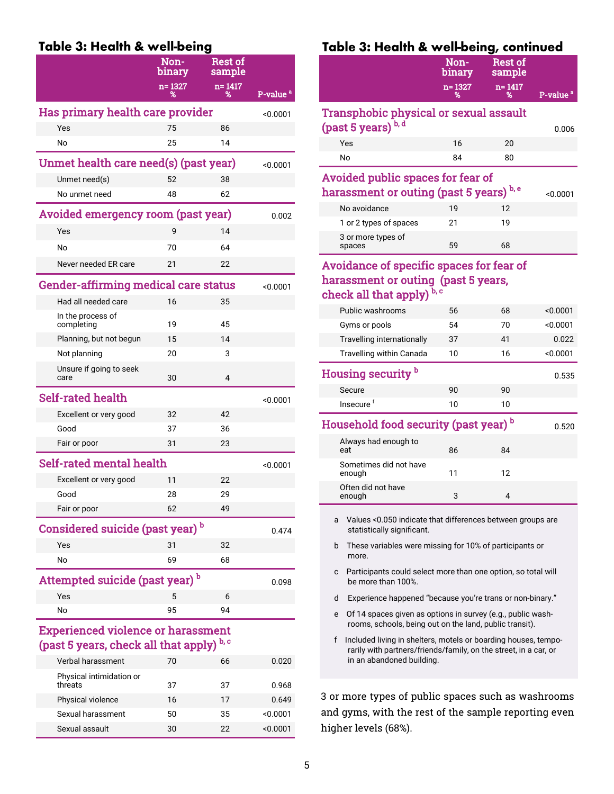#### Table 3: Health & well-being

|                                                                                   | <b>Non-</b><br>binary            | <b>Rest of</b><br>sample |                      |  |  |  |
|-----------------------------------------------------------------------------------|----------------------------------|--------------------------|----------------------|--|--|--|
|                                                                                   | n= 1327                          | $n = 1417$<br>℁          | P-value <sup>a</sup> |  |  |  |
|                                                                                   | Has primary health care provider |                          |                      |  |  |  |
| Yes                                                                               | 75                               | 86                       |                      |  |  |  |
| No                                                                                | 25                               | 14                       |                      |  |  |  |
| Unmet health care need(s) (past year)                                             |                                  |                          | < 0.0001             |  |  |  |
| Unmet need(s)                                                                     | 52                               | 38                       |                      |  |  |  |
| No unmet need                                                                     | 48                               | 62                       |                      |  |  |  |
| Avoided emergency room (past year)                                                |                                  |                          | 0.002                |  |  |  |
| Yes                                                                               | 9                                | 14                       |                      |  |  |  |
| No                                                                                | 70                               | 64                       |                      |  |  |  |
| Never needed ER care                                                              | 21                               | 22                       |                      |  |  |  |
| Gender-affirming medical care status                                              |                                  |                          | < 0.0001             |  |  |  |
| Had all needed care                                                               | 16                               | 35                       |                      |  |  |  |
| In the process of<br>completing                                                   | 19                               | 45                       |                      |  |  |  |
| Planning, but not begun                                                           | 15                               | 14                       |                      |  |  |  |
| Not planning                                                                      | 20                               | 3                        |                      |  |  |  |
| Unsure if going to seek<br>care                                                   | 30                               | $\overline{\mathbf{A}}$  |                      |  |  |  |
| <b>Self-rated health</b>                                                          |                                  |                          | < 0.0001             |  |  |  |
| Excellent or very good                                                            | 32                               | 42                       |                      |  |  |  |
| Good                                                                              | 37                               | 36                       |                      |  |  |  |
| Fair or poor                                                                      | 31                               | 23                       |                      |  |  |  |
| Self-rated mental health                                                          |                                  |                          | < 0.0001             |  |  |  |
| Excellent or very good                                                            | 11                               | 22                       |                      |  |  |  |
| Good                                                                              | 28                               | 29                       |                      |  |  |  |
| Fair or poor                                                                      | 62                               | 49                       |                      |  |  |  |
| Considered suicide (past year) <sup>b</sup>                                       |                                  |                          | 0.474                |  |  |  |
| Yes                                                                               | 31                               | 32                       |                      |  |  |  |
| No                                                                                | 69                               | 68                       |                      |  |  |  |
| Attempted suicide (past year) <sup>b</sup>                                        |                                  |                          | 0.098                |  |  |  |
| Yes                                                                               | 5                                | 6                        |                      |  |  |  |
| No                                                                                | 95                               | 94                       |                      |  |  |  |
| <b>Experienced violence or harassment</b><br>(past 5 years, check all that apply) |                                  | b, c                     |                      |  |  |  |
| Verbal harassment                                                                 | 70                               | 66                       | 0.020                |  |  |  |
| Physical intimidation or                                                          |                                  |                          |                      |  |  |  |
| threats                                                                           | 37                               | 37                       | 0.968                |  |  |  |
| Physical violence                                                                 | 16                               | 17                       | 0.649                |  |  |  |

Sexual harassment 50 35 <0.0001 Sexual assault 30 22 <0.0001

#### Table 3: Health & well-being, continued

<span id="page-4-10"></span><span id="page-4-8"></span><span id="page-4-1"></span>

|                                                                                                                          | Non-<br>binary | <b>Rest of</b><br>sample |                      |
|--------------------------------------------------------------------------------------------------------------------------|----------------|--------------------------|----------------------|
|                                                                                                                          | n=1327<br>℁    | $n = 1417$<br>℁          | P-value <sup>a</sup> |
| <b>Transphobic physical or sexual assault</b><br>(past 5 years) b, d                                                     |                |                          | 0.006                |
| Yes                                                                                                                      | 16             | 20                       |                      |
| No                                                                                                                       | 84             | 80                       |                      |
| Avoided public spaces for fear of<br>harassment or outing (past 5 years) b, e                                            |                |                          | < 0.0001             |
| No avoidance                                                                                                             | 19             | 12                       |                      |
| 1 or 2 types of spaces                                                                                                   | 21             | 19                       |                      |
| 3 or more types of<br>spaces                                                                                             | 59             | 68                       |                      |
| Avoidance of specific spaces for fear of<br>harassment or outing (past 5 years,<br>check all that apply) <sup>b, c</sup> |                |                          |                      |

<span id="page-4-18"></span><span id="page-4-16"></span><span id="page-4-15"></span><span id="page-4-14"></span><span id="page-4-13"></span><span id="page-4-11"></span>

| Public washrooms                                 | 56 | 68 | < 0.0001 |
|--------------------------------------------------|----|----|----------|
| Gyms or pools                                    | 54 | 70 | < 0.0001 |
| Travelling internationally                       | 37 | 41 | 0.022    |
| Travelling within Canada                         | 10 | 16 | < 0.0001 |
| Housing security <sup>b</sup>                    |    |    | 0.535    |
| Secure                                           | 90 | 90 |          |
| Insecure <sup>f</sup>                            | 10 | 10 |          |
| Household food security (past year) <sup>b</sup> |    |    | 0.520    |
| Always had enough to<br>eat                      | 86 | 84 |          |
| Sometimes did not have<br>enough                 | 11 | 12 |          |
| Often did not have<br>enough                     | 3  | 4  |          |
|                                                  |    |    |          |

<span id="page-4-19"></span><span id="page-4-3"></span><span id="page-4-0"></span>[a](#page-4-1) Values <0.050 indicate that differences between groups are statistically significant.

- <span id="page-4-2"></span>[b](#page-4-3) These variables were missing for 10% of participants or more.
- <span id="page-4-6"></span><span id="page-4-4"></span>[c](#page-4-7) Participants could select more than one option, so total will be more than 100%.
- <span id="page-4-9"></span>[d](#page-4-10) Experience happened "because you're trans or non-binary."
- <span id="page-4-12"></span>[e](#page-4-13) Of 14 spaces given as options in survey (e.g., public washrooms, schools, being out on the land, public transit).
- <span id="page-4-17"></span><span id="page-4-7"></span><span id="page-4-5"></span>[f](#page-4-18) Included living in shelters, motels or boarding houses, temporarily with partners/friends/family, on the street, in a car, or in an abandoned building.

3 or more types of public spaces such as washrooms and gyms, with the rest of the sample reporting even higher levels (68%).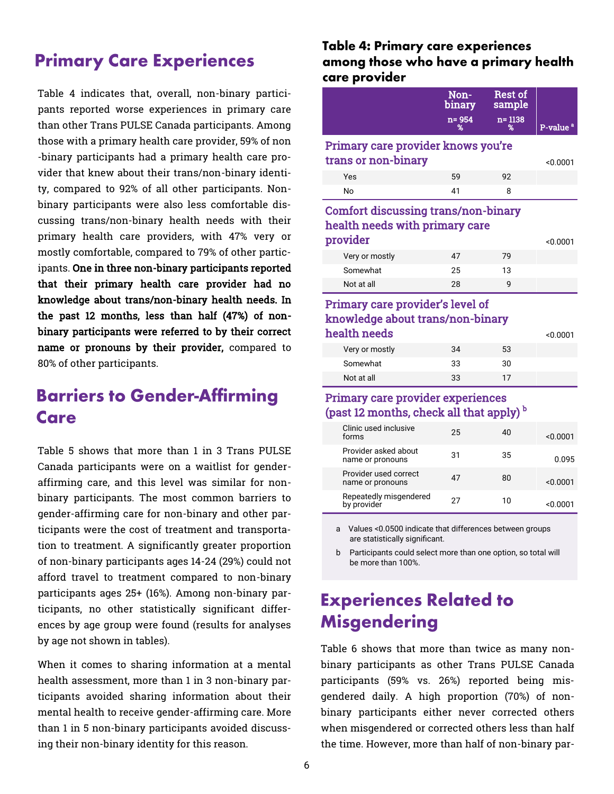### **Primary Care Experiences**

Table 4 indicates that, overall, non-binary participants reported worse experiences in primary care than other Trans PULSE Canada participants. Among those with a primary health care provider, 59% of non -binary participants had a primary health care provider that knew about their trans/non-binary identity, compared to 92% of all other participants. Nonbinary participants were also less comfortable discussing trans/non-binary health needs with their primary health care providers, with 47% very or mostly comfortable, compared to 79% of other participants. One in three non-binary participants reported that their primary health care provider had no knowledge about trans/non-binary health needs. In the past 12 months, less than half (47%) of nonbinary participants were referred to by their correct name or pronouns by their provider, compared to 80% of other participants.

### **Barriers to Gender-Affirming** Care

Table 5 shows that more than 1 in 3 Trans PULSE Canada participants were on a waitlist for genderaffirming care, and this level was similar for nonbinary participants. The most common barriers to gender-affirming care for non-binary and other participants were the cost of treatment and transportation to treatment. A significantly greater proportion of non-binary participants ages 14-24 (29%) could not afford travel to treatment compared to non-binary participants ages 25+ (16%). Among non-binary participants, no other statistically significant differences by age group were found (results for analyses by age not shown in tables).

When it comes to sharing information at a mental health assessment, more than 1 in 3 non-binary participants avoided sharing information about their mental health to receive gender-affirming care. More than 1 in 5 non-binary participants avoided discussing their non-binary identity for this reason.

#### **Table 4: Primary care experiences** among those who have a primary health care provider

<span id="page-5-1"></span>

|                                                                                          | Non-<br>binary | <b>Rest of</b><br>sample |                      |
|------------------------------------------------------------------------------------------|----------------|--------------------------|----------------------|
|                                                                                          | n= 954<br>℁    | $n = 1138$<br>℁          | P-value <sup>a</sup> |
| Primary care provider knows you're<br>trans or non-binary                                |                |                          | < 0.0001             |
| Yes                                                                                      | 59             | 92                       |                      |
| No                                                                                       | 41             | 8                        |                      |
| <b>Comfort discussing trans/non-binary</b><br>health needs with primary care<br>provider | 47             | 79                       | < 0.0001             |
| Very or mostly<br>Somewhat                                                               | 25             | 13                       |                      |
| Not at all                                                                               | 28             | 9                        |                      |
| Primary care provider's level of<br>knowledge about trans/non-binary<br>health needs     |                |                          | < 0.0001             |
| Very or mostly                                                                           | 34             | 53                       |                      |
| Somewhat                                                                                 | 33             | 30                       |                      |

#### Primary care provider experiences (past 12 months, check all that apply) $<sup>b</sup>$  $<sup>b</sup>$  $<sup>b</sup>$ </sup>

<span id="page-5-3"></span>Not at all 33 17

| Clinic used inclusive<br>forms            | 25 | 40 | < 0.0001 |
|-------------------------------------------|----|----|----------|
| Provider asked about<br>name or pronouns  | 31 | 35 | 0.095    |
| Provider used correct<br>name or pronouns | 47 | 80 | < 0.0001 |
| Repeatedly misgendered<br>by provider     | 27 | 10 | <0.0001  |

<span id="page-5-0"></span>[a](#page-5-1) Values <0.0500 indicate that differences between groups are statistically significant.

<span id="page-5-2"></span>[b](#page-5-3) Participants could select more than one option, so total will be more than 100%.

### **Experiences Related to Misgendering**

Table 6 shows that more than twice as many nonbinary participants as other Trans PULSE Canada participants (59% vs. 26%) reported being misgendered daily. A high proportion (70%) of nonbinary participants either never corrected others when misgendered or corrected others less than half the time. However, more than half of non-binary par-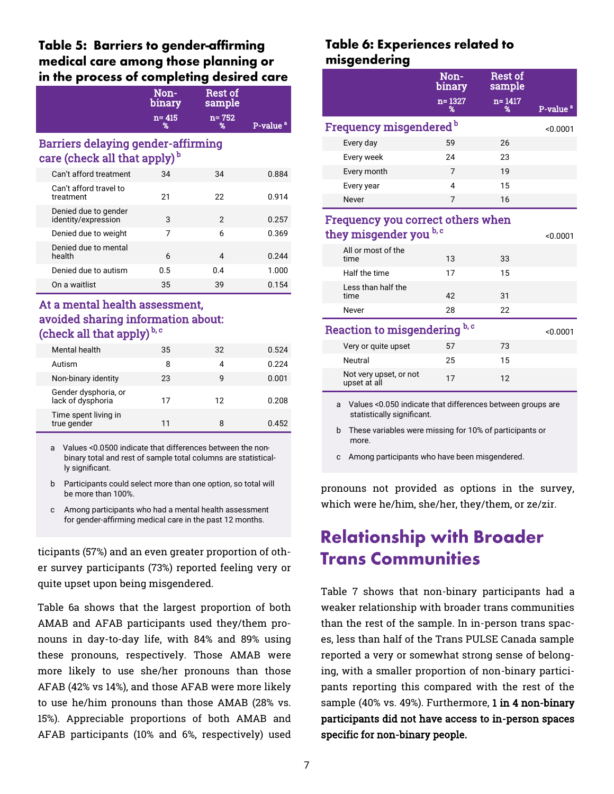#### Table 5: Barriers to gender-affirming medical care among those planning or in the process of completing desired care

|  |  | Non-<br>binary | <b>Rest of</b><br>sample |                      |
|--|--|----------------|--------------------------|----------------------|
|  |  | $n = 415$<br>% | $n = 752$<br>0%          | P-value <sup>a</sup> |
|  |  |                |                          |                      |

#### Barriers delaying gender-affirming care (check all that apply) $<sup>b</sup>$ </sup>

<span id="page-6-3"></span>

| Can't afford treatment                      | 34  | 34  | 0.884 |
|---------------------------------------------|-----|-----|-------|
| Can't afford travel to<br>treatment         | 21  | 22  | 0.914 |
| Denied due to gender<br>identity/expression | 3   | 2   | 0.257 |
| Denied due to weight                        | 7   | 6   | 0.369 |
| Denied due to mental<br>health              | 6   | 4   | 0.244 |
| Denied due to autism                        | 0.5 | 0.4 | 1.000 |
| On a waitlist                               | 35  | 39  | 0.154 |

#### At a mental health assessment, avoided sharing information about: (check all that apply)<sup>[b](#page-6-2), [c](#page-6-5)</sup>

<span id="page-6-6"></span><span id="page-6-4"></span>

| <b>Mental health</b>                      | 35 | 32 | 0.524 |
|-------------------------------------------|----|----|-------|
| Autism                                    | 8  |    | 0.224 |
| Non-binary identity                       | 23 | g  | 0.001 |
| Gender dysphoria, or<br>lack of dysphoria | 17 | 12 | 0.208 |
| Time spent living in<br>true gender       | 11 | 8  | 0.452 |

<span id="page-6-0"></span>[a](#page-6-1) Values <0.0500 indicate that differences between the nonbinary total and rest of sample total columns are statistically significant.

- <span id="page-6-2"></span>[b](#page-6-3) Participants could select more than one option, so total will be more than 100%.
- <span id="page-6-5"></span>[c](#page-6-6) Among participants who had a mental health assessment for gender-affirming medical care in the past 12 months.

ticipants (57%) and an even greater proportion of other survey participants (73%) reported feeling very or quite upset upon being misgendered.

Table 6a shows that the largest proportion of both AMAB and AFAB participants used they/them pronouns in day-to-day life, with 84% and 89% using these pronouns, respectively. Those AMAB were more likely to use she/her pronouns than those AFAB (42% vs 14%), and those AFAB were more likely to use he/him pronouns than those AMAB (28% vs. 15%). Appreciable proportions of both AMAB and AFAB participants (10% and 6%, respectively) used

#### Table 6: Experiences related to misgendering

<span id="page-6-10"></span><span id="page-6-1"></span>

|                                           | Non-<br>binary  | <b>Rest of</b><br>sample |                      |
|-------------------------------------------|-----------------|--------------------------|----------------------|
|                                           | $n = 1327$<br>℁ | $n = 1417$<br>℁          | P-value <sup>a</sup> |
| <b>Frequency misgendered</b> <sup>b</sup> |                 |                          | < 0.0001             |
| Every day                                 | 59              | 26                       |                      |
| Every week                                | 24              | 23                       |                      |
| Every month                               | 7               | 19                       |                      |
| Every year                                | 4               | 15                       |                      |
| Never                                     | 7               | 16                       |                      |

#### Frequency you correct others when they misgender you <sup>[b](#page-6-9), [c](#page-6-12)</sup>

<span id="page-6-11"></span>

| www.nationalelect.com                    |    |    | ו טטט.ט  |
|------------------------------------------|----|----|----------|
| All or most of the<br>time               | 13 | 33 |          |
| Half the time                            | 17 | 15 |          |
| Less than half the<br>time               | 42 | 31 |          |
| Never                                    | 28 | 22 |          |
|                                          |    |    |          |
| Reaction to misgendering <sup>b, c</sup> |    |    | < 0.0001 |
| Very or quite upset                      | 57 | 73 |          |
| Neutral                                  | 25 | 15 |          |
| Not very upset, or not<br>upset at all   | 17 | 12 |          |

<span id="page-6-15"></span><span id="page-6-14"></span><span id="page-6-13"></span><span id="page-6-8"></span> $\sim$ 0.001

<span id="page-6-7"></span>[a](#page-6-8) Values <0.050 indicate that differences between groups are statistically significant.

<span id="page-6-9"></span>[b](#page-6-10) These variables were missing for 10% of participants or more.

<span id="page-6-12"></span>[c](#page-6-13) Among participants who have been misgendered.

pronouns not provided as options in the survey, which were he/him, she/her, they/them, or ze/zir.

### **Relationship with Broader Trans Communities**

Table 7 shows that non-binary participants had a weaker relationship with broader trans communities than the rest of the sample. In in-person trans spaces, less than half of the Trans PULSE Canada sample reported a very or somewhat strong sense of belonging, with a smaller proportion of non-binary participants reporting this compared with the rest of the sample (40% vs. 49%). Furthermore, 1 in 4 non-binary participants did not have access to in-person spaces specific for non-binary people.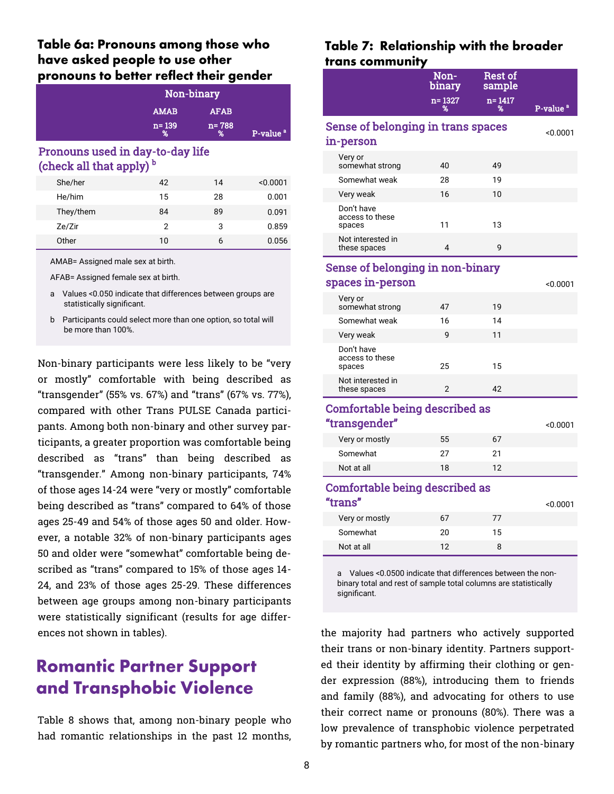#### Table 6a: Pronouns among those who have asked people to use other pronouns to better reflect their gender

<span id="page-7-1"></span>

| Non-binary      |                   |                      |
|-----------------|-------------------|----------------------|
| <b>AMAB</b>     | <b>AFAB</b>       |                      |
| $n = 139$<br>l% | $n = 788$<br>$\%$ | P-value <sup>a</sup> |

#### Pronouns used in day-to-day life (check all that apply) $<sup>b</sup>$  $<sup>b</sup>$  $<sup>b</sup>$ </sup>

<span id="page-7-7"></span>

| She/her   | 42 | 14 | < 0.0001 |
|-----------|----|----|----------|
| He/him    | 15 | 28 | 0.001    |
| They/them | 84 | 89 | 0.091    |
| Ze/Zir    | 2  | 3  | 0.859    |
| Other     | 10 | 6  | 0.056    |

<span id="page-7-0"></span>[AMAB=](#page-7-1) Assigned male sex at birth.

<span id="page-7-2"></span>[AFAB](#page-7-3)= Assigned female sex at birth.

- <span id="page-7-4"></span>[a](#page-7-5) Values <0.050 indicate that differences between groups are statistically significant.
- <span id="page-7-6"></span>[b](#page-7-7) Participants could select more than one option, so total will be more than 100%.

Non-binary participants were less likely to be "very or mostly" comfortable with being described as "transgender" (55% vs. 67%) and "trans" (67% vs. 77%), compared with other Trans PULSE Canada participants. Among both non-binary and other survey participants, a greater proportion was comfortable being described as "trans" than being described as "transgender." Among non-binary participants, 74% of those ages 14-24 were "very or mostly" comfortable being described as "trans" compared to 64% of those ages 25-49 and 54% of those ages 50 and older. However, a notable 32% of non-binary participants ages 50 and older were "somewhat" comfortable being described as "trans" compared to 15% of those ages 14- 24, and 23% of those ages 25-29. These differences between age groups among non-binary participants were statistically significant (results for age differences not shown in tables).

### **Romantic Partner Support** and Transphobic Violence

Table 8 shows that, among non-binary people who had romantic relationships in the past 12 months,

#### Table 7: Relationship with the broader . . . . . . . . . . . . . **. .** . .

<span id="page-7-9"></span><span id="page-7-5"></span><span id="page-7-3"></span>

| <b>frans community</b>                                                                                                                            |                |                          |                      |
|---------------------------------------------------------------------------------------------------------------------------------------------------|----------------|--------------------------|----------------------|
|                                                                                                                                                   | Non-<br>binary | <b>Rest of</b><br>sample |                      |
|                                                                                                                                                   | n= 1327        | n= 1417<br>%             | P-value <sup>a</sup> |
| Sense of belonging in trans spaces                                                                                                                |                |                          | <0.0001              |
| in-person                                                                                                                                         |                |                          |                      |
| Very or<br>somewhat strong                                                                                                                        | 40             | 49                       |                      |
| Somewhat weak                                                                                                                                     | 28             | 19                       |                      |
| Very weak                                                                                                                                         | 16             | 10                       |                      |
| Don't have<br>access to these<br>spaces                                                                                                           | 11             | 13                       |                      |
| Not interested in<br>these spaces                                                                                                                 | 4              | 9                        |                      |
| Sense of belonging in non-binary                                                                                                                  |                |                          |                      |
| spaces in-person                                                                                                                                  |                |                          | <0.0001              |
| Very or<br>somewhat strong                                                                                                                        | 47             | 19                       |                      |
| Somewhat weak                                                                                                                                     | 16             | 14                       |                      |
| Very weak                                                                                                                                         | 9              | 11                       |                      |
| Don't have<br>access to these<br>spaces                                                                                                           | 25             | 15                       |                      |
| Not interested in<br>these spaces                                                                                                                 | $\overline{2}$ | 42                       |                      |
| <b>Comfortable being described as</b>                                                                                                             |                |                          |                      |
| "transgender"                                                                                                                                     |                |                          | < 0.0001             |
| Very or mostly                                                                                                                                    | 55             | 67                       |                      |
| Somewhat                                                                                                                                          | 27             | 21                       |                      |
| Not at all                                                                                                                                        | 18             | 12                       |                      |
| <b>Comfortable being described as</b>                                                                                                             |                |                          |                      |
| "trans"                                                                                                                                           |                |                          | < 0.0001             |
| Very or mostly                                                                                                                                    | 67             | 77                       |                      |
| Somewhat                                                                                                                                          | 20             | 15                       |                      |
| Not at all                                                                                                                                        | 12             | 8                        |                      |
| Values <0.0500 indicate that differences between the non-<br>a<br>binary total and rest of sample total columns are statistically<br>significant. |                |                          |                      |

<span id="page-7-8"></span>the majority had partners who actively supported their trans or non-binary identity. Partners supported their identity by affirming their clothing or gender expression (88%), introducing them to friends and family (88%), and advocating for others to use their correct name or pronouns (80%). There was a low prevalence of transphobic violence perpetrated by romantic partners who, for most of the non-binary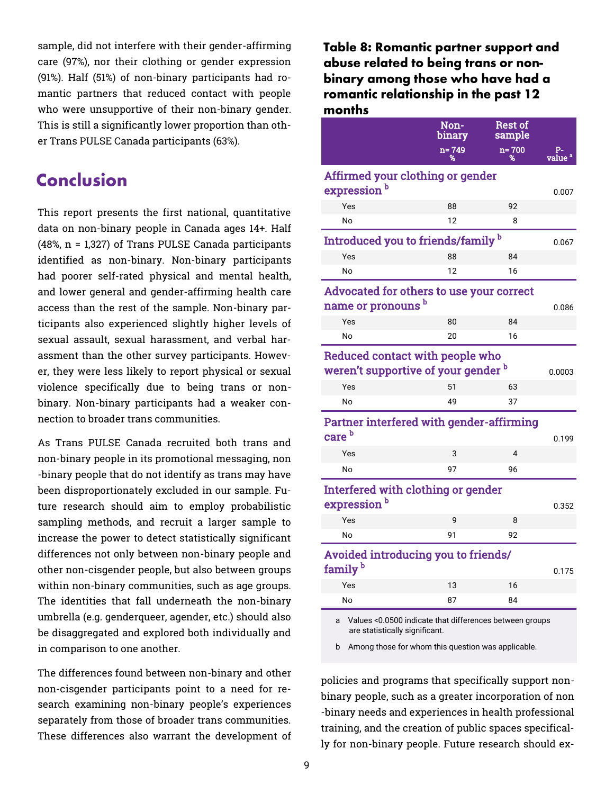sample, did not interfere with their gender-affirming care (97%), nor their clothing or gender expression (91%). Half (51%) of non-binary participants had romantic partners that reduced contact with people who were unsupportive of their non-binary gender. This is still a significantly lower proportion than other Trans PULSE Canada participants (63%).

### Conclusion

This report presents the first national, quantitative data on non-binary people in Canada ages 14+. Half (48%, n = 1,327) of Trans PULSE Canada participants identified as non-binary. Non-binary participants had poorer self-rated physical and mental health, and lower general and gender-affirming health care access than the rest of the sample. Non-binary participants also experienced slightly higher levels of sexual assault, sexual harassment, and verbal harassment than the other survey participants. However, they were less likely to report physical or sexual violence specifically due to being trans or nonbinary. Non-binary participants had a weaker connection to broader trans communities.

As Trans PULSE Canada recruited both trans and non-binary people in its promotional messaging, non -binary people that do not identify as trans may have been disproportionately excluded in our sample. Future research should aim to employ probabilistic sampling methods, and recruit a larger sample to increase the power to detect statistically significant differences not only between non-binary people and other non-cisgender people, but also between groups within non-binary communities, such as age groups. The identities that fall underneath the non-binary umbrella (e.g. genderqueer, agender, etc.) should also be disaggregated and explored both individually and in comparison to one another.

The differences found between non-binary and other non-cisgender participants point to a need for research examining non-binary people's experiences separately from those of broader trans communities. These differences also warrant the development of

Table 8: Romantic partner support and abuse related to being trans or nonbinary among those who have had a romantic relationship in the past 12 months

<span id="page-8-6"></span><span id="page-8-5"></span><span id="page-8-4"></span><span id="page-8-3"></span><span id="page-8-1"></span>

|                                                                                                | <b>Non-</b><br>binary | <b>Rest of</b><br>sample |                          |
|------------------------------------------------------------------------------------------------|-----------------------|--------------------------|--------------------------|
|                                                                                                | n= 749                | $n = 700$<br>℁           | P-<br>value <sup>a</sup> |
| Affirmed your clothing or gender                                                               |                       |                          |                          |
| expression <sup>b</sup>                                                                        |                       |                          | 0.007                    |
| Yes                                                                                            | 88                    | 92                       |                          |
| N <sub>0</sub>                                                                                 | 12                    | 8                        |                          |
| Introduced you to friends/family b                                                             |                       |                          | 0.067                    |
| Yes                                                                                            | 88                    | 84                       |                          |
| No                                                                                             | 12                    | 16                       |                          |
| Advocated for others to use your correct                                                       |                       |                          |                          |
| name or pronouns <sup>b</sup>                                                                  |                       |                          | 0.086                    |
| Yes                                                                                            | 80                    | 84                       |                          |
| No                                                                                             | 20                    | 16                       |                          |
| Reduced contact with people who<br>weren't supportive of your gender <b>b</b><br>0.0003        |                       |                          |                          |
| Yes                                                                                            | 51                    | 63                       |                          |
| No                                                                                             | 49                    | 37                       |                          |
| <b>Partner interfered with gender-affirming</b><br>care <sup>b</sup>                           |                       |                          | 0.199                    |
| Yes                                                                                            | 3                     | 4                        |                          |
| <b>No</b>                                                                                      | 97                    | 96                       |                          |
| <b>Interfered with clothing or gender</b>                                                      |                       |                          |                          |
| expression <sup>b</sup>                                                                        |                       |                          | 0.352                    |
| Yes                                                                                            | 9                     | 8                        |                          |
| <b>No</b>                                                                                      | 91                    | 92                       |                          |
| Avoided introducing you to friends/<br>family <sup>b</sup>                                     |                       |                          | 0.175                    |
| Yes                                                                                            | 13                    | 16                       |                          |
| No                                                                                             | 87                    | 84                       |                          |
| Values <0.0500 indicate that differences between groups<br>a<br>are statistically significant. |                       |                          |                          |

<span id="page-8-9"></span><span id="page-8-8"></span><span id="page-8-7"></span><span id="page-8-2"></span><span id="page-8-0"></span>[b](#page-8-3) Among those for whom this question was applicable.

policies and programs that specifically support nonbinary people, such as a greater incorporation of non -binary needs and experiences in health professional training, and the creation of public spaces specifically for non-binary people. Future research should ex